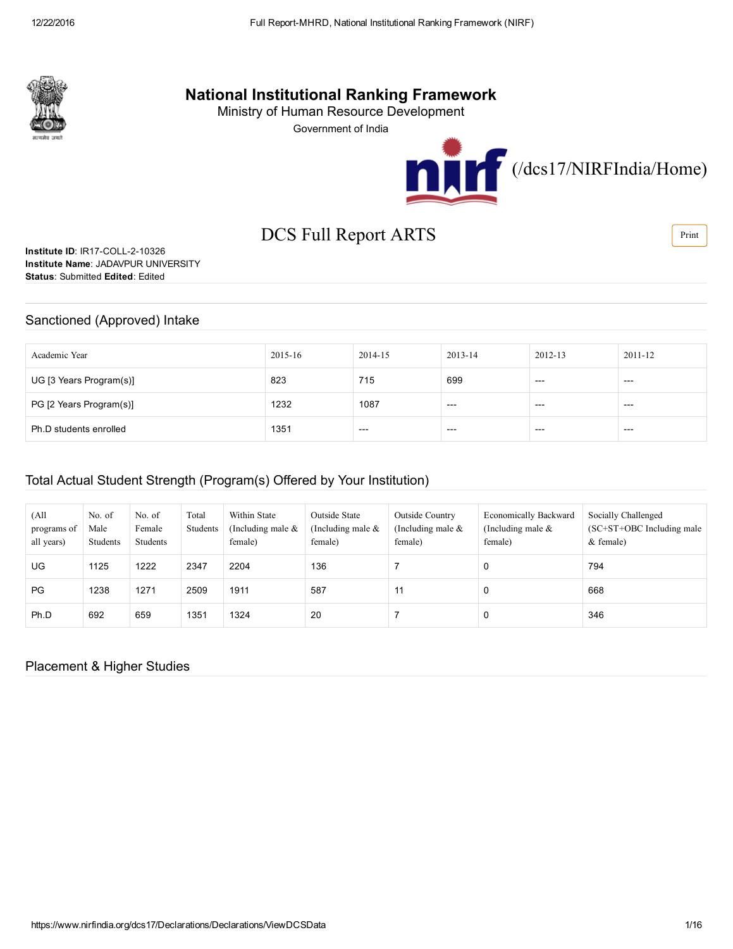

## National Institutional Ranking Framework

Ministry of Human Resource Development

Government of India



# DCS Full Report ARTS

Institute ID: IR17-COLL-2-10326 Institute Name: JADAVPUR UNIVERSITY Status: Submitted Edited: Edited

#### Sanctioned (Approved) Intake

| Academic Year           | 2015-16 | 2014-15 | 2013-14 | 2012-13 | 2011-12 |
|-------------------------|---------|---------|---------|---------|---------|
| UG [3 Years Program(s)] | 823     | 715     | 699     | $---$   | $---$   |
| PG [2 Years Program(s)] | 1232    | 1087    | $---$   | ---     | $---$   |
| Ph.D students enrolled  | 1351    | $---$   | $---$   | $---$   | $---$   |

#### Total Actual Student Strength (Program(s) Offered by Your Institution)

| (All<br>programs of<br>all years) | No. of<br>Male<br>Students | No. of<br>Female<br><b>Students</b> | Total<br>Students | Within State<br>(Including male $\&$<br>female) | Outside State<br>(Including male $&$<br>female) | Outside Country<br>(Including male $\&$<br>female) | <b>Economically Backward</b><br>(Including male $\&$<br>female) | Socially Challenged<br>$(SC+ST+OBC$ Including male<br>& female) |
|-----------------------------------|----------------------------|-------------------------------------|-------------------|-------------------------------------------------|-------------------------------------------------|----------------------------------------------------|-----------------------------------------------------------------|-----------------------------------------------------------------|
| UG.                               | 1125                       | 1222                                | 2347              | 2204                                            | 136                                             |                                                    | 0                                                               | 794                                                             |
| PG                                | 1238                       | 1271                                | 2509              | 1911                                            | 587                                             | 11                                                 | 0                                                               | 668                                                             |
| Ph.D                              | 692                        | 659                                 | 1351              | 1324                                            | 20                                              |                                                    | 0                                                               | 346                                                             |

#### Placement & Higher Studies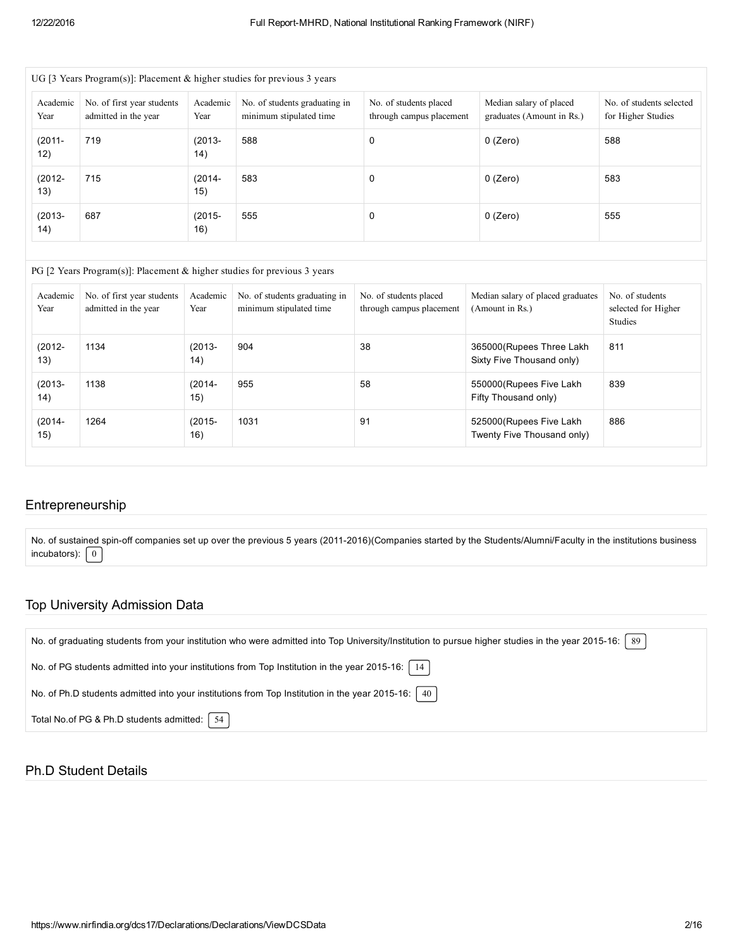| Academic<br>Year | No. of first year students<br>Academic<br>admitted in the year<br>Year |                  | No. of students graduating in<br>minimum stipulated time | No. of students placed<br>through campus placement | Median salary of placed<br>graduates (Amount in Rs.) | No. of students selected<br>for Higher Studies |
|------------------|------------------------------------------------------------------------|------------------|----------------------------------------------------------|----------------------------------------------------|------------------------------------------------------|------------------------------------------------|
| $(2011 -$<br>12) | 719                                                                    | $(2013 -$<br>14) | 588                                                      | 0                                                  | $0$ (Zero)                                           | 588                                            |
| $(2012 -$<br>13) | 715                                                                    | $(2014 -$<br>15) | 583                                                      | 0                                                  | $0$ (Zero)                                           | 583                                            |
| $(2013 -$<br>14) | 687<br>$(2015 -$<br>16)                                                |                  | 555                                                      | 0                                                  | $0$ (Zero)                                           | 555                                            |

| Academic<br>Year | No. of first year students<br>admitted in the year | Academic<br>Year | No. of students graduating in<br>minimum stipulated time | No. of students placed<br>through campus placement | Median salary of placed graduates<br>(Amount in Rs.)   | No. of students<br>selected for Higher<br>Studies |
|------------------|----------------------------------------------------|------------------|----------------------------------------------------------|----------------------------------------------------|--------------------------------------------------------|---------------------------------------------------|
| $(2012 -$<br>13) | 1134                                               | $(2013 -$<br>14) | 904                                                      | 38                                                 | 365000 (Rupees Three Lakh<br>Sixty Five Thousand only) | 811                                               |
| $(2013 -$<br>14) | 1138                                               | $(2014 -$<br>15) | 955                                                      | 58                                                 | 550000 (Rupees Five Lakh<br>Fifty Thousand only)       | 839                                               |
| $(2014 -$<br>15) | 1264                                               | $(2015 -$<br>16) | 1031                                                     | 91                                                 | 525000 (Rupees Five Lakh<br>Twenty Five Thousand only) | 886                                               |

#### Entrepreneurship

No. of sustained spin-off companies set up over the previous 5 years (2011-2016)(Companies started by the Students/Alumni/Faculty in the institutions business incubators):  $\boxed{0}$ 

#### Top University Admission Data

| No. of graduating students from your institution who were admitted into Top University/Institution to pursue higher studies in the year 2015-16:   89 |
|-------------------------------------------------------------------------------------------------------------------------------------------------------|
| No. of PG students admitted into your institutions from Top Institution in the year 2015-16:   14                                                     |
| No. of Ph.D students admitted into your institutions from Top Institution in the year 2015-16:   40                                                   |
| Total No.of PG & Ph.D students admitted:   54                                                                                                         |

#### Ph.D Student Details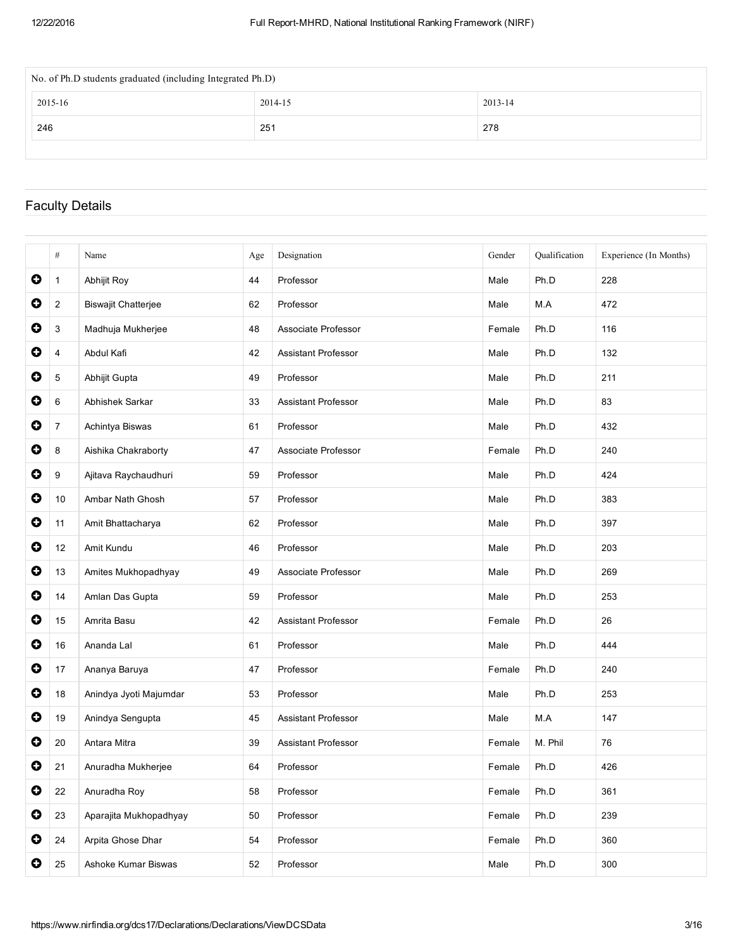| No. of Ph.D students graduated (including Integrated Ph.D) |         |         |  |  |  |  |  |
|------------------------------------------------------------|---------|---------|--|--|--|--|--|
| 2015-16                                                    | 2014-15 | 2013-14 |  |  |  |  |  |
| 246                                                        | 251     | 278     |  |  |  |  |  |
|                                                            |         |         |  |  |  |  |  |

## Faculty Details

|           | #              | Name                       | Age | Designation                | Gender | Qualification | Experience (In Months) |
|-----------|----------------|----------------------------|-----|----------------------------|--------|---------------|------------------------|
| 0         | $\mathbf 1$    | Abhijit Roy                | 44  | Professor                  | Male   | Ph.D          | 228                    |
| 0         | $\overline{2}$ | <b>Biswajit Chatterjee</b> | 62  | Professor                  | Male   | M.A           | 472                    |
| 0         | 3              | Madhuja Mukherjee          | 48  | Associate Professor        | Female | Ph.D          | 116                    |
| 0         | 4              | Abdul Kafi                 | 42  | <b>Assistant Professor</b> | Male   | Ph.D          | 132                    |
| 0         | 5              | Abhijit Gupta              | 49  | Professor                  | Male   | Ph.D          | 211                    |
| 0         | 6              | Abhishek Sarkar            | 33  | <b>Assistant Professor</b> | Male   | Ph.D          | 83                     |
| 0         | $\overline{7}$ | Achintya Biswas            | 61  | Professor                  | Male   | Ph.D          | 432                    |
| 0         | 8              | Aishika Chakraborty        | 47  | Associate Professor        | Female | Ph.D          | 240                    |
| 0         | 9              | Ajitava Raychaudhuri       | 59  | Professor                  | Male   | Ph.D          | 424                    |
| 0         | 10             | Ambar Nath Ghosh           | 57  | Professor                  | Male   | Ph.D          | 383                    |
| 0         | 11             | Amit Bhattacharya          | 62  | Professor                  | Male   | Ph.D          | 397                    |
| 0         | 12             | Amit Kundu                 | 46  | Professor                  | Male   | Ph.D          | 203                    |
| 0         | 13             | Amites Mukhopadhyay        | 49  | Associate Professor        | Male   | Ph.D          | 269                    |
| 0         | 14             | Amlan Das Gupta            | 59  | Professor                  | Male   | Ph.D          | 253                    |
| O         | 15             | Amrita Basu                | 42  | <b>Assistant Professor</b> | Female | Ph.D          | 26                     |
| 0         | 16             | Ananda Lal                 | 61  | Professor                  | Male   | Ph.D          | 444                    |
| 0         | 17             | Ananya Baruya              | 47  | Professor                  | Female | Ph.D          | 240                    |
| 0         | 18             | Anindya Jyoti Majumdar     | 53  | Professor                  | Male   | Ph.D          | 253                    |
| 0         | 19             | Anindya Sengupta           | 45  | <b>Assistant Professor</b> | Male   | M.A           | 147                    |
| O         | 20             | Antara Mitra               | 39  | <b>Assistant Professor</b> | Female | M. Phil       | 76                     |
| 0         | 21             | Anuradha Mukherjee         | 64  | Professor                  | Female | Ph.D          | 426                    |
| $\bullet$ | 22             | Anuradha Roy               | 58  | Professor                  | Female | Ph.D          | 361                    |
| 0         | 23             | Aparajita Mukhopadhyay     | 50  | Professor                  | Female | Ph.D          | 239                    |
| 0         | 24             | Arpita Ghose Dhar          | 54  | Professor                  | Female | Ph.D          | 360                    |
| 0         | 25             | Ashoke Kumar Biswas        | 52  | Professor                  | Male   | Ph.D          | 300                    |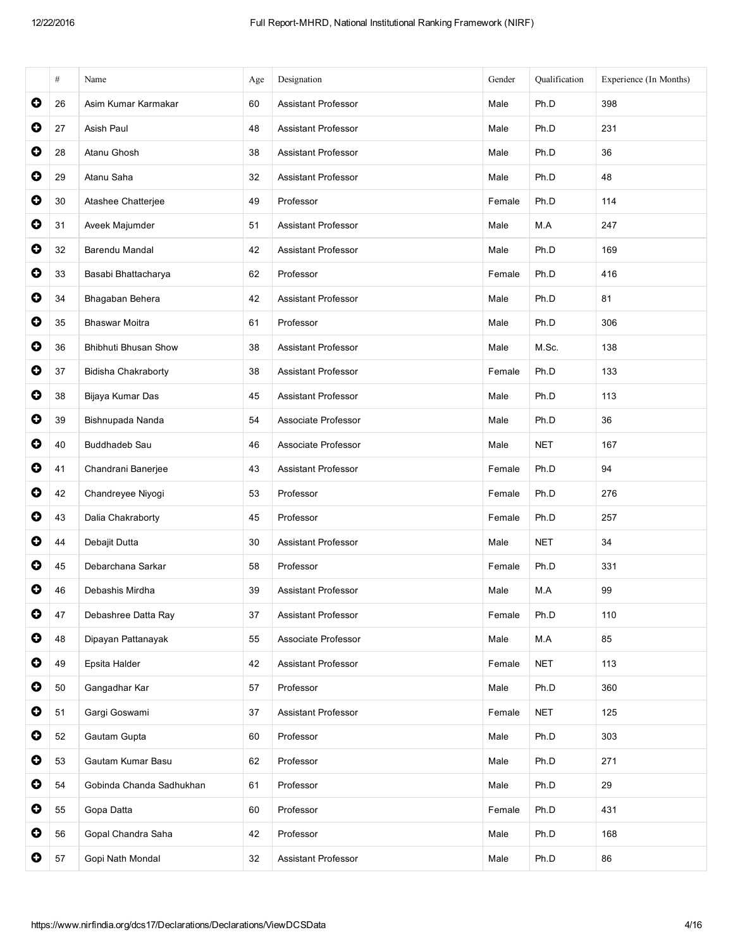|           | #  | Name                     | Age | Designation                | Gender | Qualification | Experience (In Months) |
|-----------|----|--------------------------|-----|----------------------------|--------|---------------|------------------------|
| O         | 26 | Asim Kumar Karmakar      | 60  | <b>Assistant Professor</b> | Male   | Ph.D          | 398                    |
| 0         | 27 | Asish Paul               | 48  | <b>Assistant Professor</b> | Male   | Ph.D          | 231                    |
| $\bullet$ | 28 | Atanu Ghosh              | 38  | <b>Assistant Professor</b> | Male   | Ph.D          | 36                     |
| $\bullet$ | 29 | Atanu Saha               | 32  | Assistant Professor        | Male   | Ph.D          | 48                     |
| $\bullet$ | 30 | Atashee Chatterjee       | 49  | Professor                  | Female | Ph.D          | 114                    |
| 0         | 31 | Aveek Majumder           | 51  | <b>Assistant Professor</b> | Male   | M.A           | 247                    |
| $\bullet$ | 32 | Barendu Mandal           | 42  | <b>Assistant Professor</b> | Male   | Ph.D          | 169                    |
| $\bullet$ | 33 | Basabi Bhattacharya      | 62  | Professor                  | Female | Ph.D          | 416                    |
| $\bullet$ | 34 | Bhagaban Behera          | 42  | <b>Assistant Professor</b> | Male   | Ph.D          | 81                     |
| $\bullet$ | 35 | <b>Bhaswar Moitra</b>    | 61  | Professor                  | Male   | Ph.D          | 306                    |
| O         | 36 | Bhibhuti Bhusan Show     | 38  | <b>Assistant Professor</b> | Male   | M.Sc.         | 138                    |
| $\bullet$ | 37 | Bidisha Chakraborty      | 38  | <b>Assistant Professor</b> | Female | Ph.D          | 133                    |
| $\bullet$ | 38 | Bijaya Kumar Das         | 45  | <b>Assistant Professor</b> | Male   | Ph.D          | 113                    |
| 0         | 39 | Bishnupada Nanda         | 54  | Associate Professor        | Male   | Ph.D          | 36                     |
| $\bullet$ | 40 | Buddhadeb Sau            | 46  | Associate Professor        | Male   | <b>NET</b>    | 167                    |
| $\bullet$ | 41 | Chandrani Banerjee       | 43  | Assistant Professor        | Female | Ph.D          | 94                     |
| $\bullet$ | 42 | Chandreyee Niyogi        | 53  | Professor                  | Female | Ph.D          | 276                    |
| $\bullet$ | 43 | Dalia Chakraborty        | 45  | Professor                  | Female | Ph.D          | 257                    |
| 0         | 44 | Debajit Dutta            | 30  | Assistant Professor        | Male   | <b>NET</b>    | 34                     |
| $\bullet$ | 45 | Debarchana Sarkar        | 58  | Professor                  | Female | Ph.D          | 331                    |
| O         | 46 | Debashis Mirdha          | 39  | <b>Assistant Professor</b> | Male   | M.A           | 99                     |
| 0         | 47 | Debashree Datta Ray      | 37  | Assistant Professor        | Female | Ph.D          | 110                    |
| 0         | 48 | Dipayan Pattanayak       | 55  | Associate Professor        | Male   | M.A           | 85                     |
| $\bullet$ | 49 | Epsita Halder            | 42  | Assistant Professor        | Female | <b>NET</b>    | 113                    |
| $\bullet$ | 50 | Gangadhar Kar            | 57  | Professor                  | Male   | Ph.D          | 360                    |
| 0         | 51 | Gargi Goswami            | 37  | Assistant Professor        | Female | <b>NET</b>    | 125                    |
| 0         | 52 | Gautam Gupta             | 60  | Professor                  | Male   | Ph.D          | 303                    |
| $\bullet$ | 53 | Gautam Kumar Basu        | 62  | Professor                  | Male   | Ph.D          | 271                    |
| O         | 54 | Gobinda Chanda Sadhukhan | 61  | Professor                  | Male   | Ph.D          | 29                     |
| $\bullet$ | 55 | Gopa Datta               | 60  | Professor                  | Female | Ph.D          | 431                    |
| 0         | 56 | Gopal Chandra Saha       | 42  | Professor                  | Male   | Ph.D          | 168                    |
| 0         | 57 | Gopi Nath Mondal         | 32  | Assistant Professor        | Male   | Ph.D          | 86                     |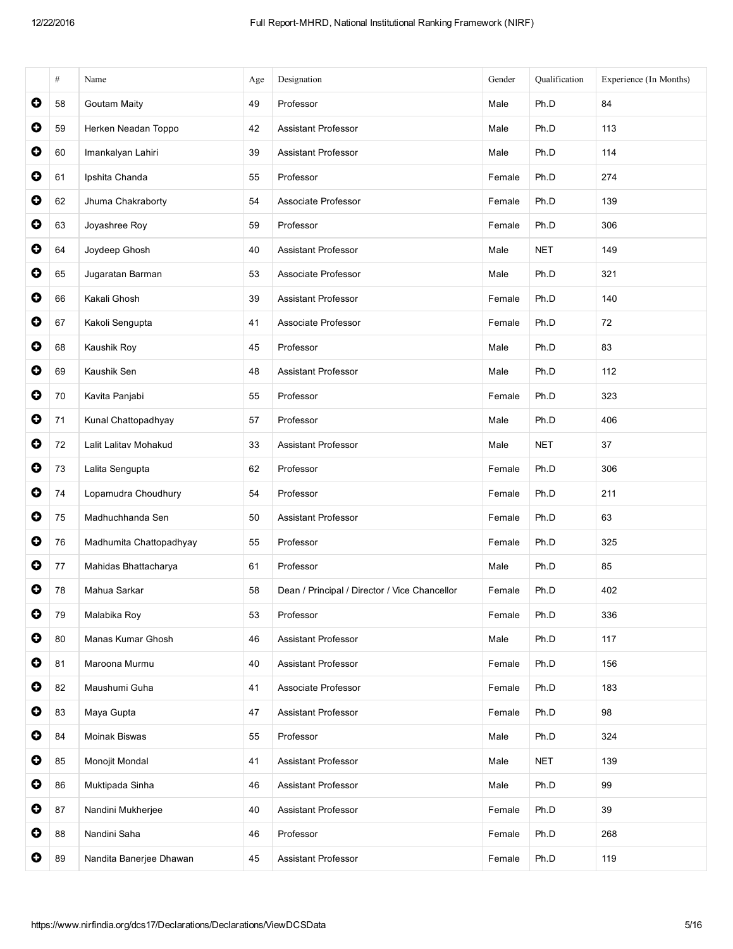|           | $\#$ | Name                    | Age | Designation                                   | Gender | Qualification | Experience (In Months) |
|-----------|------|-------------------------|-----|-----------------------------------------------|--------|---------------|------------------------|
| 0         | 58   | <b>Goutam Maity</b>     | 49  | Professor                                     | Male   | Ph.D          | 84                     |
| $\bullet$ | 59   | Herken Neadan Toppo     | 42  | <b>Assistant Professor</b>                    | Male   | Ph.D          | 113                    |
| $\bullet$ | 60   | Imankalyan Lahiri       | 39  | <b>Assistant Professor</b>                    | Male   | Ph.D          | 114                    |
| $\bullet$ | 61   | Ipshita Chanda          | 55  | Professor                                     | Female | Ph.D          | 274                    |
| $\bullet$ | 62   | Jhuma Chakraborty       | 54  | Associate Professor                           | Female | Ph.D          | 139                    |
| $\bullet$ | 63   | Joyashree Roy           | 59  | Professor                                     | Female | Ph.D          | 306                    |
| $\bullet$ | 64   | Joydeep Ghosh           | 40  | <b>Assistant Professor</b>                    | Male   | <b>NET</b>    | 149                    |
| $\bullet$ | 65   | Jugaratan Barman        | 53  | Associate Professor                           | Male   | Ph.D          | 321                    |
| 0         | 66   | Kakali Ghosh            | 39  | Assistant Professor                           | Female | Ph.D          | 140                    |
| $\bullet$ | 67   | Kakoli Sengupta         | 41  | Associate Professor                           | Female | Ph.D          | 72                     |
| $\bullet$ | 68   | Kaushik Roy             | 45  | Professor                                     | Male   | Ph.D          | 83                     |
| $\bullet$ | 69   | Kaushik Sen             | 48  | <b>Assistant Professor</b>                    | Male   | Ph.D          | 112                    |
| $\bullet$ | 70   | Kavita Panjabi          | 55  | Professor                                     | Female | Ph.D          | 323                    |
| $\bullet$ | 71   | Kunal Chattopadhyay     | 57  | Professor                                     | Male   | Ph.D          | 406                    |
| $\bullet$ | 72   | Lalit Lalitav Mohakud   | 33  | <b>Assistant Professor</b>                    | Male   | <b>NET</b>    | 37                     |
| $\bullet$ | 73   | Lalita Sengupta         | 62  | Professor                                     | Female | Ph.D          | 306                    |
| $\bullet$ | 74   | Lopamudra Choudhury     | 54  | Professor                                     | Female | Ph.D          | 211                    |
| $\bullet$ | 75   | Madhuchhanda Sen        | 50  | <b>Assistant Professor</b>                    | Female | Ph.D          | 63                     |
| $\bullet$ | 76   | Madhumita Chattopadhyay | 55  | Professor                                     | Female | Ph.D          | 325                    |
| $\bullet$ | 77   | Mahidas Bhattacharya    | 61  | Professor                                     | Male   | Ph.D          | 85                     |
| O         | 78   | Mahua Sarkar            | 58  | Dean / Principal / Director / Vice Chancellor | Female | Ph.D          | 402                    |
| $\bullet$ | 79   | Malabika Roy            | 53  | Professor                                     | Female | Ph.D          | 336                    |
| $\bullet$ | 80   | Manas Kumar Ghosh       | 46  | <b>Assistant Professor</b>                    | Male   | Ph.D          | 117                    |
| $\bullet$ | 81   | Maroona Murmu           | 40  | <b>Assistant Professor</b>                    | Female | Ph.D          | 156                    |
| $\bullet$ | 82   | Maushumi Guha           | 41  | Associate Professor                           | Female | Ph.D          | 183                    |
| $\bullet$ | 83   | Maya Gupta              | 47  | Assistant Professor                           | Female | Ph.D          | 98                     |
| $\bullet$ | 84   | Moinak Biswas           | 55  | Professor                                     | Male   | Ph.D          | 324                    |
| $\bullet$ | 85   | Monojit Mondal          | 41  | <b>Assistant Professor</b>                    | Male   | <b>NET</b>    | 139                    |
| $\bullet$ | 86   | Muktipada Sinha         | 46  | <b>Assistant Professor</b>                    | Male   | Ph.D          | 99                     |
| $\bullet$ | 87   | Nandini Mukherjee       | 40  | <b>Assistant Professor</b>                    | Female | Ph.D          | 39                     |
| $\bullet$ | 88   | Nandini Saha            | 46  | Professor                                     | Female | Ph.D          | 268                    |
| $\bullet$ | 89   | Nandita Banerjee Dhawan | 45  | <b>Assistant Professor</b>                    | Female | Ph.D          | 119                    |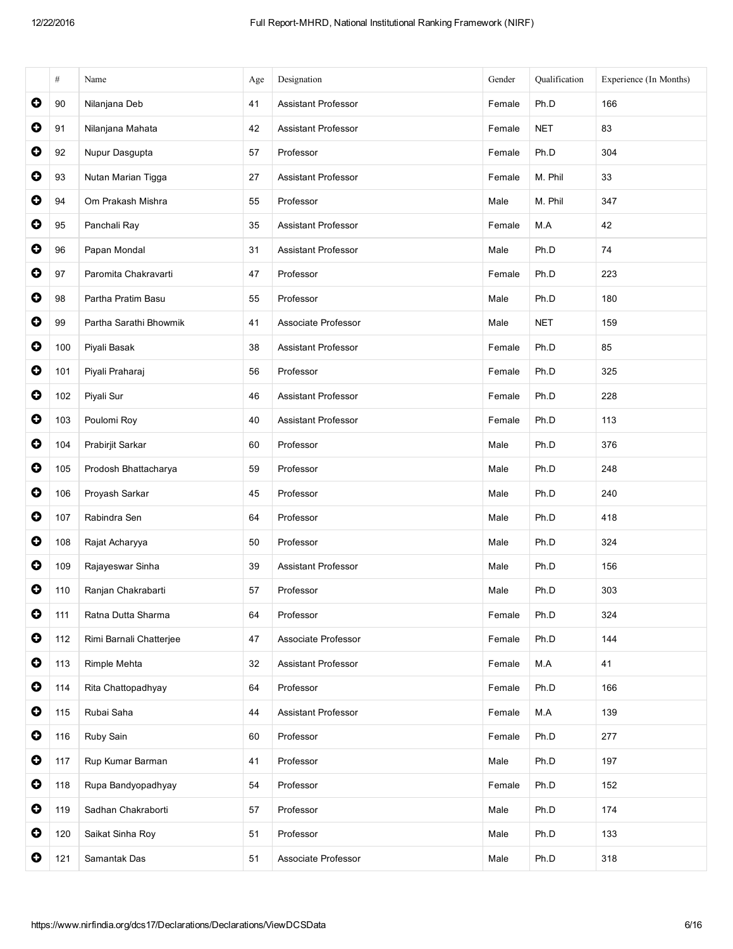|           | $\#$ | Name                    | Age | Designation                | Gender | Qualification | Experience (In Months) |
|-----------|------|-------------------------|-----|----------------------------|--------|---------------|------------------------|
| $\bullet$ | 90   | Nilanjana Deb           | 41  | <b>Assistant Professor</b> | Female | Ph.D          | 166                    |
| $\bullet$ | 91   | Nilanjana Mahata        | 42  | <b>Assistant Professor</b> | Female | <b>NET</b>    | 83                     |
| $\bullet$ | 92   | Nupur Dasgupta          | 57  | Professor                  | Female | Ph.D          | 304                    |
| $\bullet$ | 93   | Nutan Marian Tigga      | 27  | <b>Assistant Professor</b> | Female | M. Phil       | 33                     |
| $\bullet$ | 94   | Om Prakash Mishra       | 55  | Professor                  | Male   | M. Phil       | 347                    |
| $\bullet$ | 95   | Panchali Ray            | 35  | <b>Assistant Professor</b> | Female | M.A           | 42                     |
| $\bullet$ | 96   | Papan Mondal            | 31  | <b>Assistant Professor</b> | Male   | Ph.D          | 74                     |
| $\bullet$ | 97   | Paromita Chakravarti    | 47  | Professor                  | Female | Ph.D          | 223                    |
| $\bullet$ | 98   | Partha Pratim Basu      | 55  | Professor                  | Male   | Ph.D          | 180                    |
| $\bullet$ | 99   | Partha Sarathi Bhowmik  | 41  | Associate Professor        | Male   | <b>NET</b>    | 159                    |
| $\bullet$ | 100  | Piyali Basak            | 38  | <b>Assistant Professor</b> | Female | Ph.D          | 85                     |
| $\bullet$ | 101  | Piyali Praharaj         | 56  | Professor                  | Female | Ph.D          | 325                    |
| $\bullet$ | 102  | Piyali Sur              | 46  | <b>Assistant Professor</b> | Female | Ph.D          | 228                    |
| $\bullet$ | 103  | Poulomi Roy             | 40  | Assistant Professor        | Female | Ph.D          | 113                    |
| $\bullet$ | 104  | Prabirjit Sarkar        | 60  | Professor                  | Male   | Ph.D          | 376                    |
| $\bullet$ | 105  | Prodosh Bhattacharya    | 59  | Professor                  | Male   | Ph.D          | 248                    |
| $\bullet$ | 106  | Proyash Sarkar          | 45  | Professor                  | Male   | Ph.D          | 240                    |
| $\bullet$ | 107  | Rabindra Sen            | 64  | Professor                  | Male   | Ph.D          | 418                    |
| $\bullet$ | 108  | Rajat Acharyya          | 50  | Professor                  | Male   | Ph.D          | 324                    |
| $\bullet$ | 109  | Rajayeswar Sinha        | 39  | <b>Assistant Professor</b> | Male   | Ph.D          | 156                    |
| $\bullet$ | 110  | Ranjan Chakrabarti      | 57  | Professor                  | Male   | Ph.D          | 303                    |
| $\bullet$ | 111  | Ratna Dutta Sharma      | 64  | Professor                  | Female | Ph.D          | 324                    |
| $\bullet$ | 112  | Rimi Barnali Chatterjee | 47  | Associate Professor        | Female | Ph.D          | 144                    |
| $\bullet$ | 113  | Rimple Mehta            | 32  | Assistant Professor        | Female | M.A           | 41                     |
| $\bullet$ | 114  | Rita Chattopadhyay      | 64  | Professor                  | Female | Ph.D          | 166                    |
| $\bullet$ | 115  | Rubai Saha              | 44  | <b>Assistant Professor</b> | Female | M.A           | 139                    |
| $\bullet$ | 116  | Ruby Sain               | 60  | Professor                  | Female | Ph.D          | 277                    |
| $\bullet$ | 117  | Rup Kumar Barman        | 41  | Professor                  | Male   | Ph.D          | 197                    |
| $\bullet$ | 118  | Rupa Bandyopadhyay      | 54  | Professor                  | Female | Ph.D          | 152                    |
| $\bullet$ | 119  | Sadhan Chakraborti      | 57  | Professor                  | Male   | Ph.D          | 174                    |
| $\bullet$ | 120  | Saikat Sinha Roy        | 51  | Professor                  | Male   | Ph.D          | 133                    |
| $\bullet$ | 121  | Samantak Das            | 51  | Associate Professor        | Male   | Ph.D          | 318                    |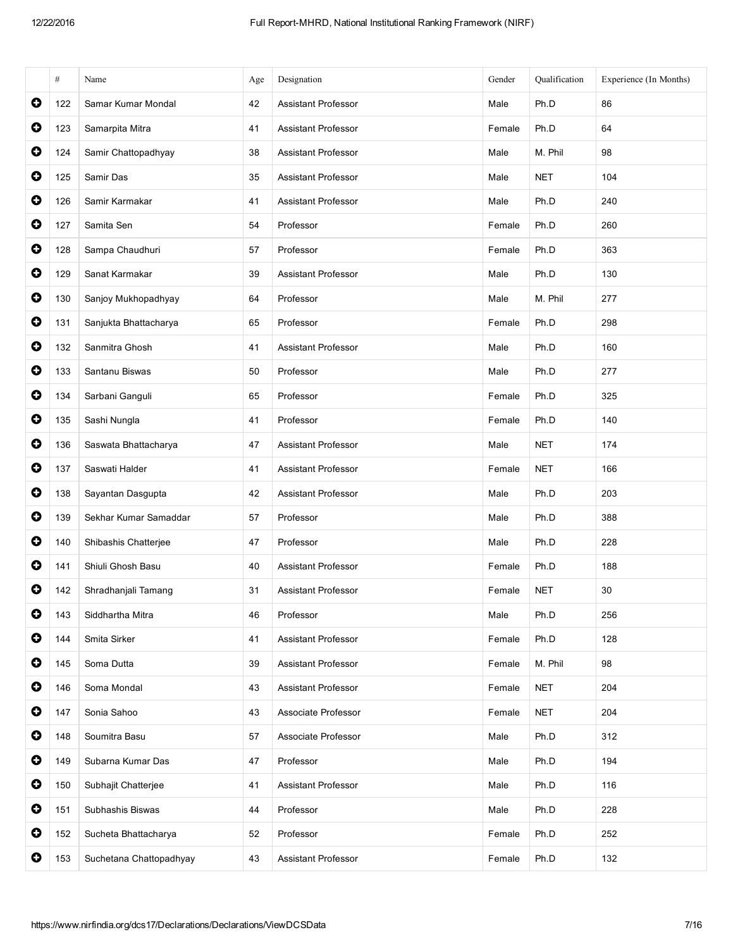|           | $\#$ | Name                    | Age | Designation                | Gender | Oualification | Experience (In Months) |
|-----------|------|-------------------------|-----|----------------------------|--------|---------------|------------------------|
| $\bullet$ | 122  | Samar Kumar Mondal      | 42  | <b>Assistant Professor</b> | Male   | Ph.D          | 86                     |
| $\bullet$ | 123  | Samarpita Mitra         | 41  | <b>Assistant Professor</b> | Female | Ph.D          | 64                     |
| $\bullet$ | 124  | Samir Chattopadhyay     | 38  | <b>Assistant Professor</b> | Male   | M. Phil       | 98                     |
| $\bullet$ | 125  | Samir Das               | 35  | <b>Assistant Professor</b> | Male   | <b>NET</b>    | 104                    |
| $\bullet$ | 126  | Samir Karmakar          | 41  | <b>Assistant Professor</b> | Male   | Ph.D          | 240                    |
| $\bullet$ | 127  | Samita Sen              | 54  | Professor                  | Female | Ph.D          | 260                    |
| $\bullet$ | 128  | Sampa Chaudhuri         | 57  | Professor                  | Female | Ph.D          | 363                    |
| $\bullet$ | 129  | Sanat Karmakar          | 39  | <b>Assistant Professor</b> | Male   | Ph.D          | 130                    |
| $\bullet$ | 130  | Sanjoy Mukhopadhyay     | 64  | Professor                  | Male   | M. Phil       | 277                    |
| $\bullet$ | 131  | Sanjukta Bhattacharya   | 65  | Professor                  | Female | Ph.D          | 298                    |
| $\bullet$ | 132  | Sanmitra Ghosh          | 41  | <b>Assistant Professor</b> | Male   | Ph.D          | 160                    |
| $\bullet$ | 133  | Santanu Biswas          | 50  | Professor                  | Male   | Ph.D          | 277                    |
| $\bullet$ | 134  | Sarbani Ganguli         | 65  | Professor                  | Female | Ph.D          | 325                    |
| $\bullet$ | 135  | Sashi Nungla            | 41  | Professor                  | Female | Ph.D          | 140                    |
| $\bullet$ | 136  | Saswata Bhattacharya    | 47  | <b>Assistant Professor</b> | Male   | <b>NET</b>    | 174                    |
| $\bullet$ | 137  | Saswati Halder          | 41  | <b>Assistant Professor</b> | Female | <b>NET</b>    | 166                    |
| $\bullet$ | 138  | Sayantan Dasgupta       | 42  | <b>Assistant Professor</b> | Male   | Ph.D          | 203                    |
| $\bullet$ | 139  | Sekhar Kumar Samaddar   | 57  | Professor                  | Male   | Ph.D          | 388                    |
| $\bullet$ | 140  | Shibashis Chatterjee    | 47  | Professor                  | Male   | Ph.D          | 228                    |
| $\bullet$ | 141  | Shiuli Ghosh Basu       | 40  | <b>Assistant Professor</b> | Female | Ph.D          | 188                    |
| $\bullet$ | 142  | Shradhanjali Tamang     | 31  | <b>Assistant Professor</b> | Female | <b>NET</b>    | 30                     |
| $\bullet$ | 143  | Siddhartha Mitra        | 46  | Professor                  | Male   | Ph.D          | 256                    |
| $\bullet$ | 144  | Smita Sirker            | 41  | <b>Assistant Professor</b> | Female | Ph.D          | 128                    |
| $\bullet$ | 145  | Soma Dutta              | 39  | <b>Assistant Professor</b> | Female | M. Phil       | 98                     |
| $\bullet$ | 146  | Soma Mondal             | 43  | Assistant Professor        | Female | <b>NET</b>    | 204                    |
| $\bullet$ | 147  | Sonia Sahoo             | 43  | Associate Professor        | Female | <b>NET</b>    | 204                    |
| $\bullet$ | 148  | Soumitra Basu           | 57  | Associate Professor        | Male   | Ph.D          | 312                    |
| $\bullet$ | 149  | Subarna Kumar Das       | 47  | Professor                  | Male   | Ph.D          | 194                    |
| $\bullet$ | 150  | Subhajit Chatterjee     | 41  | <b>Assistant Professor</b> | Male   | Ph.D          | 116                    |
| $\bullet$ | 151  | Subhashis Biswas        | 44  | Professor                  | Male   | Ph.D          | 228                    |
| $\bullet$ | 152  | Sucheta Bhattacharya    | 52  | Professor                  | Female | Ph.D          | 252                    |
| $\bullet$ | 153  | Suchetana Chattopadhyay | 43  | <b>Assistant Professor</b> | Female | Ph.D          | 132                    |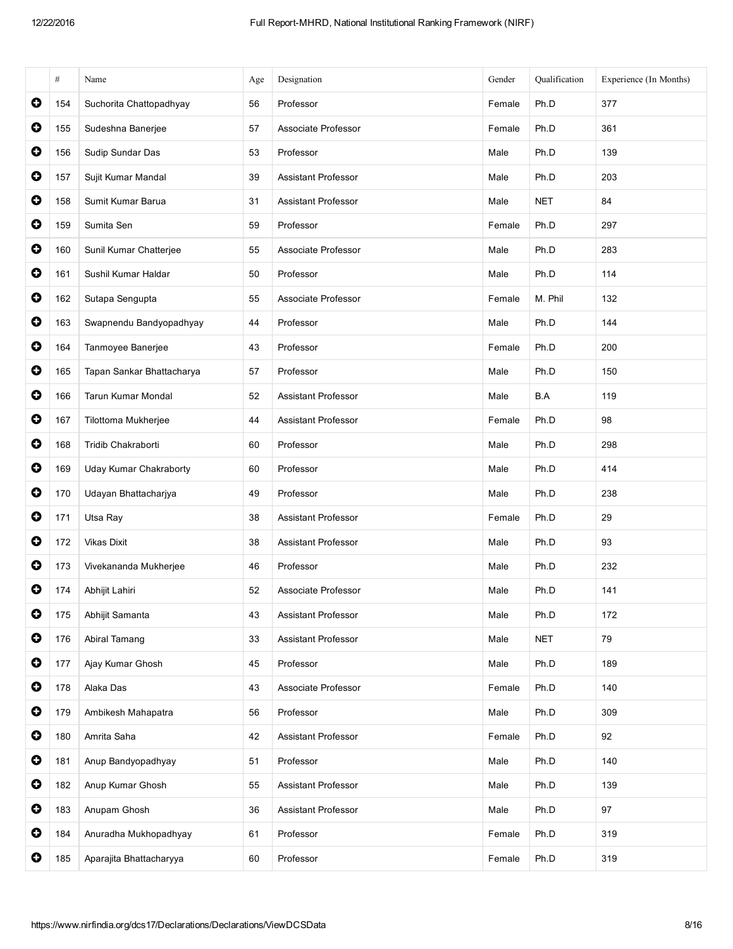|           | $\#$ | Name                      | Age | Designation                | Gender | Qualification | Experience (In Months) |
|-----------|------|---------------------------|-----|----------------------------|--------|---------------|------------------------|
| $\bullet$ | 154  | Suchorita Chattopadhyay   | 56  | Professor                  | Female | Ph.D          | 377                    |
| $\bullet$ | 155  | Sudeshna Banerjee         | 57  | Associate Professor        | Female | Ph.D          | 361                    |
| $\bullet$ | 156  | Sudip Sundar Das          | 53  | Professor                  | Male   | Ph.D          | 139                    |
| $\bullet$ | 157  | Sujit Kumar Mandal        | 39  | <b>Assistant Professor</b> | Male   | Ph.D          | 203                    |
| $\bullet$ | 158  | Sumit Kumar Barua         | 31  | <b>Assistant Professor</b> | Male   | <b>NET</b>    | 84                     |
| $\bullet$ | 159  | Sumita Sen                | 59  | Professor                  | Female | Ph.D          | 297                    |
| $\bullet$ | 160  | Sunil Kumar Chatterjee    | 55  | Associate Professor        | Male   | Ph.D          | 283                    |
| $\bullet$ | 161  | Sushil Kumar Haldar       | 50  | Professor                  | Male   | Ph.D          | 114                    |
| $\bullet$ | 162  | Sutapa Sengupta           | 55  | Associate Professor        | Female | M. Phil       | 132                    |
| $\bullet$ | 163  | Swapnendu Bandyopadhyay   | 44  | Professor                  | Male   | Ph.D          | 144                    |
| $\bullet$ | 164  | Tanmoyee Banerjee         | 43  | Professor                  | Female | Ph.D          | 200                    |
| $\bullet$ | 165  | Tapan Sankar Bhattacharya | 57  | Professor                  | Male   | Ph.D          | 150                    |
| $\bullet$ | 166  | <b>Tarun Kumar Mondal</b> | 52  | <b>Assistant Professor</b> | Male   | B.A           | 119                    |
| $\bullet$ | 167  | Tilottoma Mukherjee       | 44  | Assistant Professor        | Female | Ph.D          | 98                     |
| $\bullet$ | 168  | Tridib Chakraborti        | 60  | Professor                  | Male   | Ph.D          | 298                    |
| O         | 169  | Uday Kumar Chakraborty    | 60  | Professor                  | Male   | Ph.D          | 414                    |
| $\bullet$ | 170  | Udayan Bhattacharjya      | 49  | Professor                  | Male   | Ph.D          | 238                    |
| $\bullet$ | 171  | Utsa Ray                  | 38  | <b>Assistant Professor</b> | Female | Ph.D          | 29                     |
| $\bullet$ | 172  | <b>Vikas Dixit</b>        | 38  | Assistant Professor        | Male   | Ph.D          | 93                     |
| $\bullet$ | 173  | Vivekananda Mukherjee     | 46  | Professor                  | Male   | Ph.D          | 232                    |
| O         | 174  | Abhijit Lahiri            | 52  | Associate Professor        | Male   | Ph.D          | 141                    |
| $\bullet$ | 175  | Abhijit Samanta           | 43  | <b>Assistant Professor</b> | Male   | Ph.D          | 172                    |
| $\bullet$ | 176  | Abiral Tamang             | 33  | Assistant Professor        | Male   | <b>NET</b>    | 79                     |
| $\bullet$ | 177  | Ajay Kumar Ghosh          | 45  | Professor                  | Male   | Ph.D          | 189                    |
| $\bullet$ | 178  | Alaka Das                 | 43  | Associate Professor        | Female | Ph.D          | 140                    |
| $\bullet$ | 179  | Ambikesh Mahapatra        | 56  | Professor                  | Male   | Ph.D          | 309                    |
| $\bullet$ | 180  | Amrita Saha               | 42  | <b>Assistant Professor</b> | Female | Ph.D          | 92                     |
| $\bullet$ | 181  | Anup Bandyopadhyay        | 51  | Professor                  | Male   | Ph.D          | 140                    |
| $\bullet$ | 182  | Anup Kumar Ghosh          | 55  | Assistant Professor        | Male   | Ph.D          | 139                    |
| $\bullet$ | 183  | Anupam Ghosh              | 36  | Assistant Professor        | Male   | Ph.D          | 97                     |
| $\bullet$ | 184  | Anuradha Mukhopadhyay     | 61  | Professor                  | Female | Ph.D          | 319                    |
| 0         | 185  | Aparajita Bhattacharyya   | 60  | Professor                  | Female | Ph.D          | 319                    |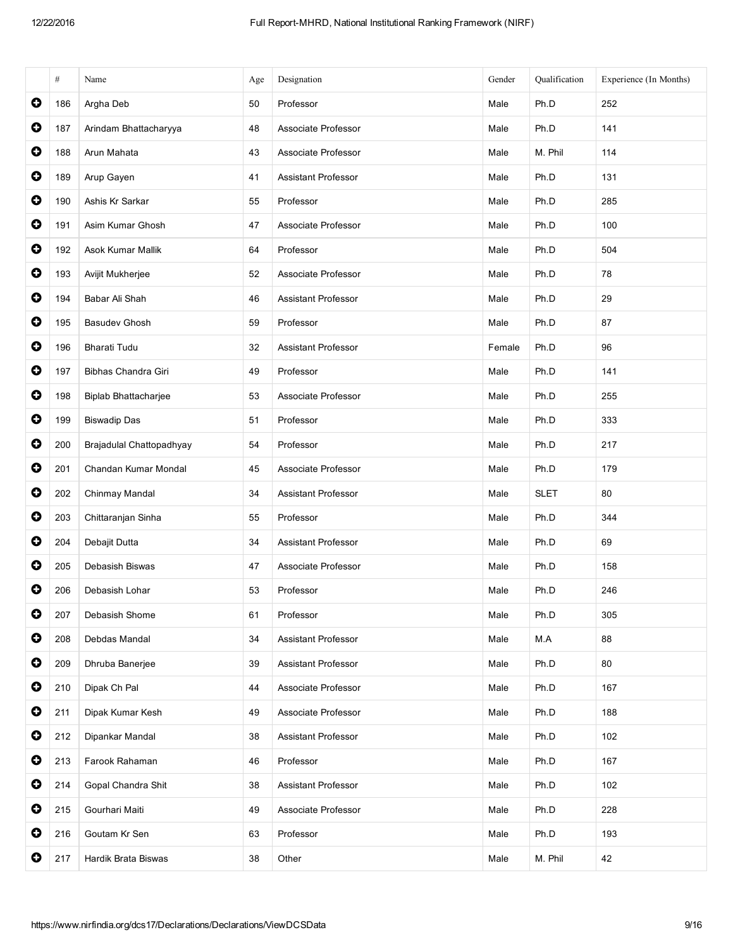|           | $\#$ | Name                        | Age | Designation                | Gender | Qualification | Experience (In Months) |
|-----------|------|-----------------------------|-----|----------------------------|--------|---------------|------------------------|
| $\bullet$ | 186  | Argha Deb                   | 50  | Professor                  | Male   | Ph.D          | 252                    |
| $\bullet$ | 187  | Arindam Bhattacharyya       | 48  | Associate Professor        | Male   | Ph.D          | 141                    |
| $\bullet$ | 188  | Arun Mahata                 | 43  | Associate Professor        | Male   | M. Phil       | 114                    |
| $\bullet$ | 189  | Arup Gayen                  | 41  | Assistant Professor        | Male   | Ph.D          | 131                    |
| $\bullet$ | 190  | Ashis Kr Sarkar             | 55  | Professor                  | Male   | Ph.D          | 285                    |
| $\bullet$ | 191  | Asim Kumar Ghosh            | 47  | Associate Professor        | Male   | Ph.D          | 100                    |
| $\bullet$ | 192  | Asok Kumar Mallik           | 64  | Professor                  | Male   | Ph.D          | 504                    |
| $\bullet$ | 193  | Avijit Mukherjee            | 52  | Associate Professor        | Male   | Ph.D          | 78                     |
| $\bullet$ | 194  | Babar Ali Shah              | 46  | <b>Assistant Professor</b> | Male   | Ph.D          | 29                     |
| $\bullet$ | 195  | <b>Basudev Ghosh</b>        | 59  | Professor                  | Male   | Ph.D          | 87                     |
| $\bullet$ | 196  | Bharati Tudu                | 32  | <b>Assistant Professor</b> | Female | Ph.D          | 96                     |
| $\bullet$ | 197  | Bibhas Chandra Giri         | 49  | Professor                  | Male   | Ph.D          | 141                    |
| $\bullet$ | 198  | <b>Biplab Bhattacharjee</b> | 53  | Associate Professor        | Male   | Ph.D          | 255                    |
| $\bullet$ | 199  | <b>Biswadip Das</b>         | 51  | Professor                  | Male   | Ph.D          | 333                    |
| $\bullet$ | 200  | Brajadulal Chattopadhyay    | 54  | Professor                  | Male   | Ph.D          | 217                    |
| $\bullet$ | 201  | Chandan Kumar Mondal        | 45  | Associate Professor        | Male   | Ph.D          | 179                    |
| $\bullet$ | 202  | Chinmay Mandal              | 34  | <b>Assistant Professor</b> | Male   | <b>SLET</b>   | 80                     |
| $\bullet$ | 203  | Chittaranjan Sinha          | 55  | Professor                  | Male   | Ph.D          | 344                    |
| $\bullet$ | 204  | Debajit Dutta               | 34  | Assistant Professor        | Male   | Ph.D          | 69                     |
| $\bullet$ | 205  | Debasish Biswas             | 47  | Associate Professor        | Male   | Ph.D          | 158                    |
| $\bullet$ | 206  | Debasish Lohar              | 53  | Professor                  | Male   | Ph.D          | 246                    |
| $\bullet$ | 207  | Debasish Shome              | 61  | Professor                  | Male   | Ph.D          | 305                    |
| $\bullet$ | 208  | Debdas Mandal               | 34  | <b>Assistant Professor</b> | Male   | M.A           | 88                     |
| $\bullet$ | 209  | Dhruba Banerjee             | 39  | <b>Assistant Professor</b> | Male   | Ph.D          | 80                     |
| $\bullet$ | 210  | Dipak Ch Pal                | 44  | Associate Professor        | Male   | Ph.D          | 167                    |
| $\bullet$ | 211  | Dipak Kumar Kesh            | 49  | Associate Professor        | Male   | Ph.D          | 188                    |
| $\bullet$ | 212  | Dipankar Mandal             | 38  | <b>Assistant Professor</b> | Male   | Ph.D          | 102                    |
| $\bullet$ | 213  | Farook Rahaman              | 46  | Professor                  | Male   | Ph.D          | 167                    |
| $\bullet$ | 214  | Gopal Chandra Shit          | 38  | <b>Assistant Professor</b> | Male   | Ph.D          | 102                    |
| $\bullet$ | 215  | Gourhari Maiti              | 49  | Associate Professor        | Male   | Ph.D          | 228                    |
| $\bullet$ | 216  | Goutam Kr Sen               | 63  | Professor                  | Male   | Ph.D          | 193                    |
| $\bullet$ | 217  | Hardik Brata Biswas         | 38  | Other                      | Male   | M. Phil       | 42                     |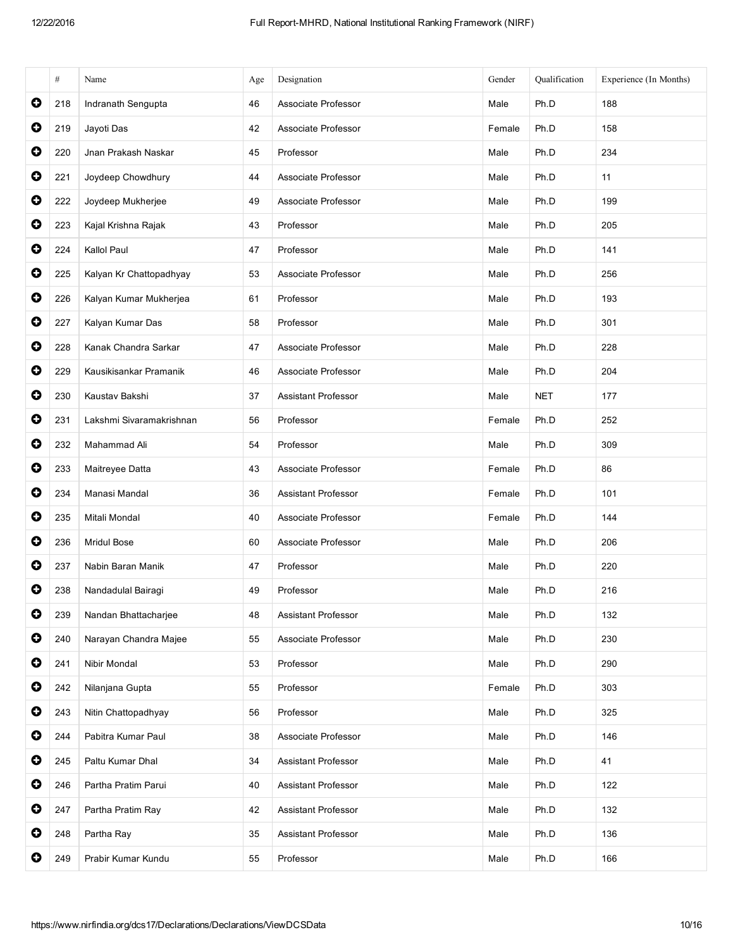|           | #   | Name                     | Age | Designation                | Gender | Qualification | Experience (In Months) |
|-----------|-----|--------------------------|-----|----------------------------|--------|---------------|------------------------|
| $\bullet$ | 218 | Indranath Sengupta       | 46  | Associate Professor        | Male   | Ph.D          | 188                    |
| $\bullet$ | 219 | Jayoti Das               | 42  | Associate Professor        | Female | Ph.D          | 158                    |
| $\bullet$ | 220 | Jnan Prakash Naskar      | 45  | Professor                  | Male   | Ph.D          | 234                    |
| $\bullet$ | 221 | Joydeep Chowdhury        | 44  | Associate Professor        | Male   | Ph.D          | 11                     |
| $\bullet$ | 222 | Joydeep Mukherjee        | 49  | Associate Professor        | Male   | Ph.D          | 199                    |
| $\bullet$ | 223 | Kajal Krishna Rajak      | 43  | Professor                  | Male   | Ph.D          | 205                    |
| $\bullet$ | 224 | Kallol Paul              | 47  | Professor                  | Male   | Ph.D          | 141                    |
| $\bullet$ | 225 | Kalyan Kr Chattopadhyay  | 53  | Associate Professor        | Male   | Ph.D          | 256                    |
| $\bullet$ | 226 | Kalyan Kumar Mukherjea   | 61  | Professor                  | Male   | Ph.D          | 193                    |
| $\bullet$ | 227 | Kalyan Kumar Das         | 58  | Professor                  | Male   | Ph.D          | 301                    |
| $\bullet$ | 228 | Kanak Chandra Sarkar     | 47  | Associate Professor        | Male   | Ph.D          | 228                    |
| $\bullet$ | 229 | Kausikisankar Pramanik   | 46  | Associate Professor        | Male   | Ph.D          | 204                    |
| $\bullet$ | 230 | Kaustav Bakshi           | 37  | <b>Assistant Professor</b> | Male   | <b>NET</b>    | 177                    |
| $\bullet$ | 231 | Lakshmi Sivaramakrishnan | 56  | Professor                  | Female | Ph.D          | 252                    |
| $\bullet$ | 232 | Mahammad Ali             | 54  | Professor                  | Male   | Ph.D          | 309                    |
| 0         | 233 | Maitreyee Datta          | 43  | Associate Professor        | Female | Ph.D          | 86                     |
| $\bullet$ | 234 | Manasi Mandal            | 36  | <b>Assistant Professor</b> | Female | Ph.D          | 101                    |
| $\bullet$ | 235 | Mitali Mondal            | 40  | Associate Professor        | Female | Ph.D          | 144                    |
| $\bullet$ | 236 | <b>Mridul Bose</b>       | 60  | Associate Professor        | Male   | Ph.D          | 206                    |
| $\bullet$ | 237 | Nabin Baran Manik        | 47  | Professor                  | Male   | Ph.D          | 220                    |
| O         | 238 | Nandadulal Bairagi       | 49  | Professor                  | Male   | Ph.D          | 216                    |
| $\bullet$ | 239 | Nandan Bhattacharjee     | 48  | <b>Assistant Professor</b> | Male   | Ph.D          | 132                    |
| $\bullet$ | 240 | Narayan Chandra Majee    | 55  | Associate Professor        | Male   | Ph.D          | 230                    |
| $\bullet$ | 241 | Nibir Mondal             | 53  | Professor                  | Male   | Ph.D          | 290                    |
| $\bullet$ | 242 | Nilanjana Gupta          | 55  | Professor                  | Female | Ph.D          | 303                    |
| $\bullet$ | 243 | Nitin Chattopadhyay      | 56  | Professor                  | Male   | Ph.D          | 325                    |
| $\bullet$ | 244 | Pabitra Kumar Paul       | 38  | Associate Professor        | Male   | Ph.D          | 146                    |
| $\bullet$ | 245 | Paltu Kumar Dhal         | 34  | <b>Assistant Professor</b> | Male   | Ph.D          | 41                     |
| $\bullet$ | 246 | Partha Pratim Parui      | 40  | Assistant Professor        | Male   | Ph.D          | 122                    |
| $\bullet$ | 247 | Partha Pratim Ray        | 42  | Assistant Professor        | Male   | Ph.D          | 132                    |
| $\bullet$ | 248 | Partha Ray               | 35  | <b>Assistant Professor</b> | Male   | Ph.D          | 136                    |
| 0         | 249 | Prabir Kumar Kundu       | 55  | Professor                  | Male   | Ph.D          | 166                    |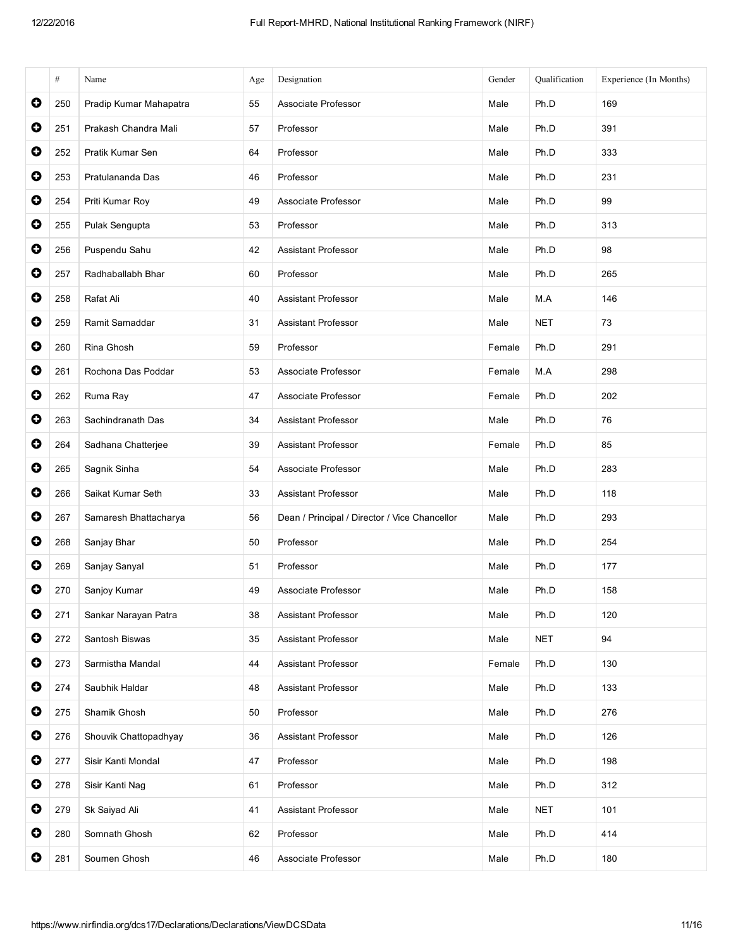|           | $\#$ | Name                   | Age | Designation                                   | Gender | Qualification | Experience (In Months) |
|-----------|------|------------------------|-----|-----------------------------------------------|--------|---------------|------------------------|
| $\bullet$ | 250  | Pradip Kumar Mahapatra | 55  | Associate Professor                           | Male   | Ph.D          | 169                    |
| $\bullet$ | 251  | Prakash Chandra Mali   | 57  | Professor                                     | Male   | Ph.D          | 391                    |
| $\bullet$ | 252  | Pratik Kumar Sen       | 64  | Professor                                     | Male   | Ph.D          | 333                    |
| $\bullet$ | 253  | Pratulananda Das       | 46  | Professor                                     | Male   | Ph.D          | 231                    |
| $\bullet$ | 254  | Priti Kumar Roy        | 49  | Associate Professor                           | Male   | Ph.D          | 99                     |
| $\bullet$ | 255  | Pulak Sengupta         | 53  | Professor                                     | Male   | Ph.D          | 313                    |
| $\bullet$ | 256  | Puspendu Sahu          | 42  | <b>Assistant Professor</b>                    | Male   | Ph.D          | 98                     |
| $\bullet$ | 257  | Radhaballabh Bhar      | 60  | Professor                                     | Male   | Ph.D          | 265                    |
| $\bullet$ | 258  | Rafat Ali              | 40  | <b>Assistant Professor</b>                    | Male   | M.A           | 146                    |
| $\bullet$ | 259  | Ramit Samaddar         | 31  | <b>Assistant Professor</b>                    | Male   | <b>NET</b>    | 73                     |
| $\bullet$ | 260  | Rina Ghosh             | 59  | Professor                                     | Female | Ph.D          | 291                    |
| $\bullet$ | 261  | Rochona Das Poddar     | 53  | Associate Professor                           | Female | M.A           | 298                    |
| $\bullet$ | 262  | Ruma Ray               | 47  | Associate Professor                           | Female | Ph.D          | 202                    |
| $\bullet$ | 263  | Sachindranath Das      | 34  | <b>Assistant Professor</b>                    | Male   | Ph.D          | 76                     |
| $\bullet$ | 264  | Sadhana Chatterjee     | 39  | Assistant Professor                           | Female | Ph.D          | 85                     |
| $\bullet$ | 265  | Sagnik Sinha           | 54  | Associate Professor                           | Male   | Ph.D          | 283                    |
| $\bullet$ | 266  | Saikat Kumar Seth      | 33  | Assistant Professor                           | Male   | Ph.D          | 118                    |
| $\bullet$ | 267  | Samaresh Bhattacharya  | 56  | Dean / Principal / Director / Vice Chancellor | Male   | Ph.D          | 293                    |
| $\bullet$ | 268  | Sanjay Bhar            | 50  | Professor                                     | Male   | Ph.D          | 254                    |
| $\bullet$ | 269  | Sanjay Sanyal          | 51  | Professor                                     | Male   | Ph.D          | 177                    |
| O         | 270  | Sanjoy Kumar           | 49  | Associate Professor                           | Male   | Ph.D          | 158                    |
| $\bullet$ | 271  | Sankar Narayan Patra   | 38  | Assistant Professor                           | Male   | Ph.D          | 120                    |
| $\bullet$ | 272  | Santosh Biswas         | 35  | Assistant Professor                           | Male   | <b>NET</b>    | 94                     |
| $\bullet$ | 273  | Sarmistha Mandal       | 44  | <b>Assistant Professor</b>                    | Female | Ph.D          | 130                    |
| $\bullet$ | 274  | Saubhik Haldar         | 48  | Assistant Professor                           | Male   | Ph.D          | 133                    |
| $\bullet$ | 275  | Shamik Ghosh           | 50  | Professor                                     | Male   | Ph.D          | 276                    |
| $\bullet$ | 276  | Shouvik Chattopadhyay  | 36  | <b>Assistant Professor</b>                    | Male   | Ph.D          | 126                    |
| $\bullet$ | 277  | Sisir Kanti Mondal     | 47  | Professor                                     | Male   | Ph.D          | 198                    |
| $\bullet$ | 278  | Sisir Kanti Nag        | 61  | Professor                                     | Male   | Ph.D          | 312                    |
| $\bullet$ | 279  | Sk Saiyad Ali          | 41  | <b>Assistant Professor</b>                    | Male   | <b>NET</b>    | 101                    |
| $\bullet$ | 280  | Somnath Ghosh          | 62  | Professor                                     | Male   | Ph.D          | 414                    |
| $\bullet$ | 281  | Soumen Ghosh           | 46  | Associate Professor                           | Male   | Ph.D          | 180                    |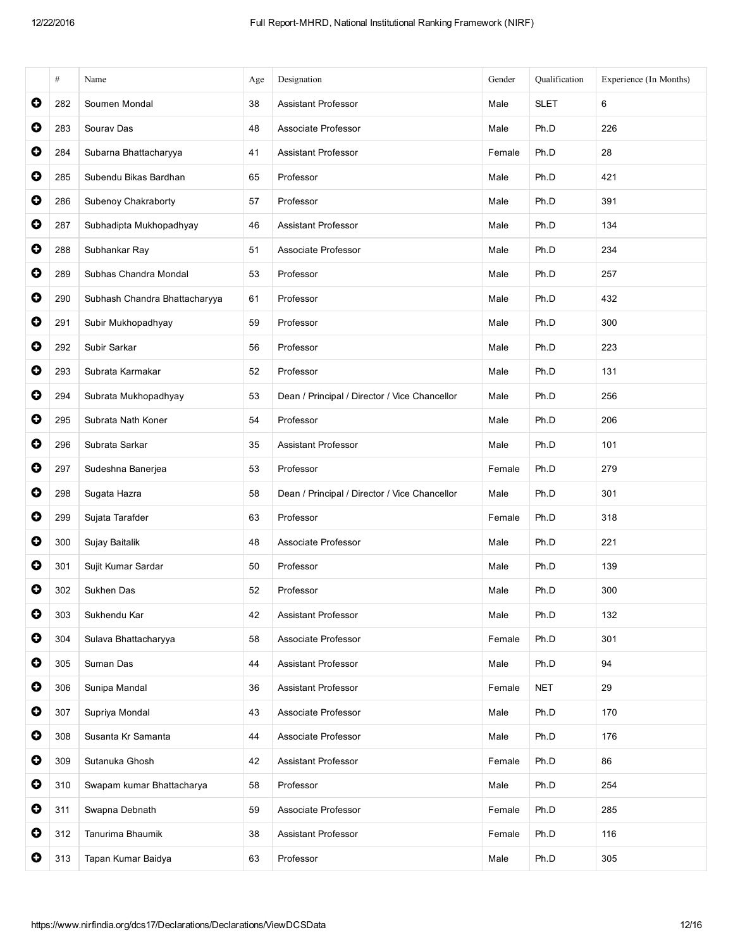|           | #   | Name                          | Age | Designation                                   | Gender | Oualification | Experience (In Months) |
|-----------|-----|-------------------------------|-----|-----------------------------------------------|--------|---------------|------------------------|
| $\bullet$ | 282 | Soumen Mondal                 | 38  | <b>Assistant Professor</b>                    | Male   | <b>SLET</b>   | 6                      |
| $\bullet$ | 283 | Sourav Das                    | 48  | Associate Professor                           | Male   | Ph.D          | 226                    |
| $\bullet$ | 284 | Subarna Bhattacharyya         | 41  | <b>Assistant Professor</b>                    | Female | Ph.D          | 28                     |
| $\bullet$ | 285 | Subendu Bikas Bardhan         | 65  | Professor                                     | Male   | Ph.D          | 421                    |
| $\bullet$ | 286 | Subenoy Chakraborty           | 57  | Professor                                     | Male   | Ph.D          | 391                    |
| $\bullet$ | 287 | Subhadipta Mukhopadhyay       | 46  | <b>Assistant Professor</b>                    | Male   | Ph.D          | 134                    |
| $\bullet$ | 288 | Subhankar Ray                 | 51  | Associate Professor                           | Male   | Ph.D          | 234                    |
| $\bullet$ | 289 | Subhas Chandra Mondal         | 53  | Professor                                     | Male   | Ph.D          | 257                    |
| $\bullet$ | 290 | Subhash Chandra Bhattacharyya | 61  | Professor                                     | Male   | Ph.D          | 432                    |
| $\bullet$ | 291 | Subir Mukhopadhyay            | 59  | Professor                                     | Male   | Ph.D          | 300                    |
| $\bullet$ | 292 | Subir Sarkar                  | 56  | Professor                                     | Male   | Ph.D          | 223                    |
| $\bullet$ | 293 | Subrata Karmakar              | 52  | Professor                                     | Male   | Ph.D          | 131                    |
| $\bullet$ | 294 | Subrata Mukhopadhyay          | 53  | Dean / Principal / Director / Vice Chancellor | Male   | Ph.D          | 256                    |
| $\bullet$ | 295 | Subrata Nath Koner            | 54  | Professor                                     | Male   | Ph.D          | 206                    |
| $\bullet$ | 296 | Subrata Sarkar                | 35  | <b>Assistant Professor</b>                    | Male   | Ph.D          | 101                    |
| $\bullet$ | 297 | Sudeshna Banerjea             | 53  | Professor                                     | Female | Ph.D          | 279                    |
| $\bullet$ | 298 | Sugata Hazra                  | 58  | Dean / Principal / Director / Vice Chancellor | Male   | Ph.D          | 301                    |
| $\bullet$ | 299 | Sujata Tarafder               | 63  | Professor                                     | Female | Ph.D          | 318                    |
| 0         | 300 | Sujay Baitalik                | 48  | Associate Professor                           | Male   | Ph.D          | 221                    |
| $\bullet$ | 301 | Sujit Kumar Sardar            | 50  | Professor                                     | Male   | Ph.D          | 139                    |
| O         | 302 | Sukhen Das                    | 52  | Professor                                     | Male   | Ph.D          | 300                    |
| $\bullet$ | 303 | Sukhendu Kar                  | 42  | <b>Assistant Professor</b>                    | Male   | Ph.D          | 132                    |
| $\bullet$ | 304 | Sulava Bhattacharyya          | 58  | Associate Professor                           | Female | Ph.D          | 301                    |
| $\bullet$ | 305 | Suman Das                     | 44  | <b>Assistant Professor</b>                    | Male   | Ph.D          | 94                     |
| $\bullet$ | 306 | Sunipa Mandal                 | 36  | Assistant Professor                           | Female | <b>NET</b>    | 29                     |
| $\bullet$ | 307 | Supriya Mondal                | 43  | Associate Professor                           | Male   | Ph.D          | 170                    |
| $\bullet$ | 308 | Susanta Kr Samanta            | 44  | Associate Professor                           | Male   | Ph.D          | 176                    |
| $\bullet$ | 309 | Sutanuka Ghosh                | 42  | <b>Assistant Professor</b>                    | Female | Ph.D          | 86                     |
| $\bullet$ | 310 | Swapam kumar Bhattacharya     | 58  | Professor                                     | Male   | Ph.D          | 254                    |
| $\bullet$ | 311 | Swapna Debnath                | 59  | Associate Professor                           | Female | Ph.D          | 285                    |
| $\bullet$ | 312 | Tanurima Bhaumik              | 38  | <b>Assistant Professor</b>                    | Female | Ph.D          | 116                    |
| $\bullet$ | 313 | Tapan Kumar Baidya            | 63  | Professor                                     | Male   | Ph.D          | 305                    |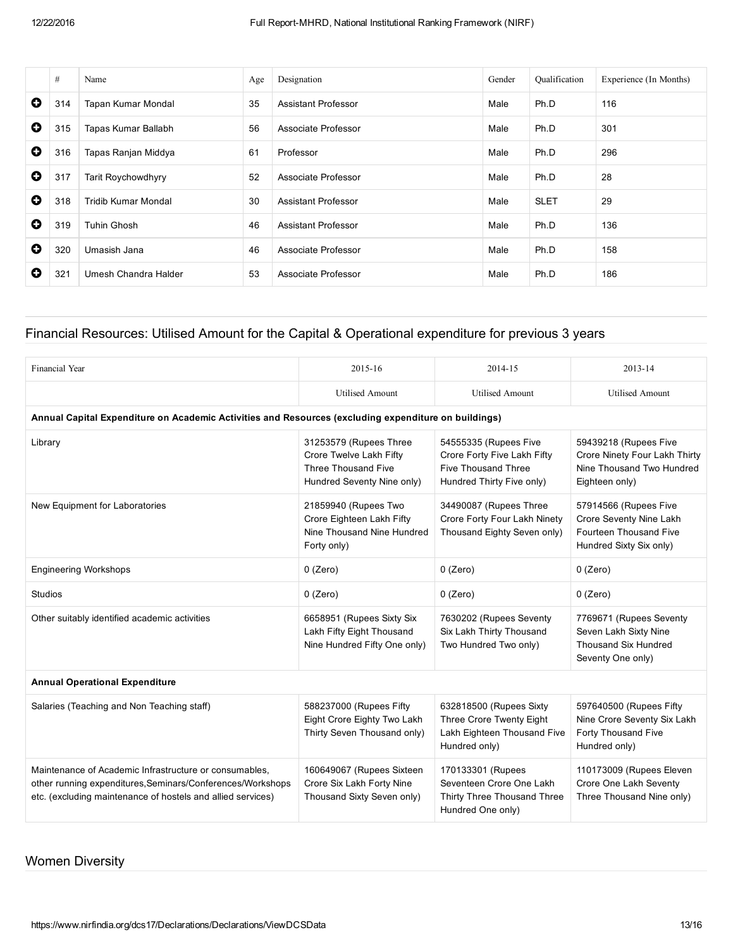|           | #   | Name                      | Age | Designation                | Gender | <b>Qualification</b> | Experience (In Months) |
|-----------|-----|---------------------------|-----|----------------------------|--------|----------------------|------------------------|
| $\bullet$ | 314 | Tapan Kumar Mondal        | 35  | <b>Assistant Professor</b> | Male   | Ph.D                 | 116                    |
| $\bullet$ | 315 | Tapas Kumar Ballabh       | 56  | Associate Professor        | Male   | Ph.D                 | 301                    |
| $\bullet$ | 316 | Tapas Ranjan Middya       | 61  | Professor                  | Male   | Ph.D                 | 296                    |
| $\bullet$ | 317 | <b>Tarit Roychowdhyry</b> | 52  | Associate Professor        | Male   | Ph.D                 | 28                     |
| O         | 318 | Tridib Kumar Mondal       | 30  | Assistant Professor        | Male   | <b>SLET</b>          | 29                     |
| O         | 319 | <b>Tuhin Ghosh</b>        | 46  | Assistant Professor        | Male   | Ph.D                 | 136                    |
| 0         | 320 | Umasish Jana              | 46  | Associate Professor        | Male   | Ph.D                 | 158                    |
| 0         | 321 | Umesh Chandra Halder      | 53  | Associate Professor        | Male   | Ph.D                 | 186                    |

#### Financial Resources: Utilised Amount for the Capital & Operational expenditure for previous 3 years

| Financial Year                                                                                                                                                                      | 2015-16                                                                                                       | 2014-15                                                                                                         | 2013-14                                                                                               |  |  |  |  |  |  |
|-------------------------------------------------------------------------------------------------------------------------------------------------------------------------------------|---------------------------------------------------------------------------------------------------------------|-----------------------------------------------------------------------------------------------------------------|-------------------------------------------------------------------------------------------------------|--|--|--|--|--|--|
|                                                                                                                                                                                     | <b>Utilised Amount</b>                                                                                        | <b>Utilised Amount</b>                                                                                          | <b>Utilised Amount</b>                                                                                |  |  |  |  |  |  |
| Annual Capital Expenditure on Academic Activities and Resources (excluding expenditure on buildings)                                                                                |                                                                                                               |                                                                                                                 |                                                                                                       |  |  |  |  |  |  |
| Library                                                                                                                                                                             | 31253579 (Rupees Three<br>Crore Twelve Lakh Fifty<br><b>Three Thousand Five</b><br>Hundred Seventy Nine only) | 54555335 (Rupees Five<br>Crore Forty Five Lakh Fifty<br><b>Five Thousand Three</b><br>Hundred Thirty Five only) | 59439218 (Rupees Five<br>Crore Ninety Four Lakh Thirty<br>Nine Thousand Two Hundred<br>Eighteen only) |  |  |  |  |  |  |
| New Equipment for Laboratories                                                                                                                                                      | 21859940 (Rupees Two<br>Crore Eighteen Lakh Fifty<br>Nine Thousand Nine Hundred<br>Forty only)                | 34490087 (Rupees Three<br>Crore Forty Four Lakh Ninety<br>Thousand Eighty Seven only)                           | 57914566 (Rupees Five<br>Crore Seventy Nine Lakh<br>Fourteen Thousand Five<br>Hundred Sixty Six only) |  |  |  |  |  |  |
| <b>Engineering Workshops</b>                                                                                                                                                        | $0$ (Zero)                                                                                                    | $0$ (Zero)                                                                                                      | $0$ (Zero)                                                                                            |  |  |  |  |  |  |
| Studios                                                                                                                                                                             | $0$ (Zero)                                                                                                    | $0$ (Zero)                                                                                                      | $0$ (Zero)                                                                                            |  |  |  |  |  |  |
| Other suitably identified academic activities                                                                                                                                       | 6658951 (Rupees Sixty Six<br>Lakh Fifty Eight Thousand<br>Nine Hundred Fifty One only)                        | 7630202 (Rupees Seventy<br>Six Lakh Thirty Thousand<br>Two Hundred Two only)                                    | 7769671 (Rupees Seventy<br>Seven Lakh Sixty Nine<br><b>Thousand Six Hundred</b><br>Seventy One only)  |  |  |  |  |  |  |
| <b>Annual Operational Expenditure</b>                                                                                                                                               |                                                                                                               |                                                                                                                 |                                                                                                       |  |  |  |  |  |  |
| Salaries (Teaching and Non Teaching staff)                                                                                                                                          | 588237000 (Rupees Fifty<br>Eight Crore Eighty Two Lakh<br>Thirty Seven Thousand only)                         | 632818500 (Rupees Sixty<br>Three Crore Twenty Eight<br>Lakh Eighteen Thousand Five<br>Hundred only)             | 597640500 (Rupees Fifty<br>Nine Crore Seventy Six Lakh<br>Forty Thousand Five<br>Hundred only)        |  |  |  |  |  |  |
| Maintenance of Academic Infrastructure or consumables.<br>other running expenditures, Seminars/Conferences/Workshops<br>etc. (excluding maintenance of hostels and allied services) | 160649067 (Rupees Sixteen<br>Crore Six Lakh Forty Nine<br>Thousand Sixty Seven only)                          | 170133301 (Rupees<br>Seventeen Crore One Lakh<br>Thirty Three Thousand Three<br>Hundred One only)               | 110173009 (Rupees Eleven<br>Crore One Lakh Seventy<br>Three Thousand Nine only)                       |  |  |  |  |  |  |

## Women Diversity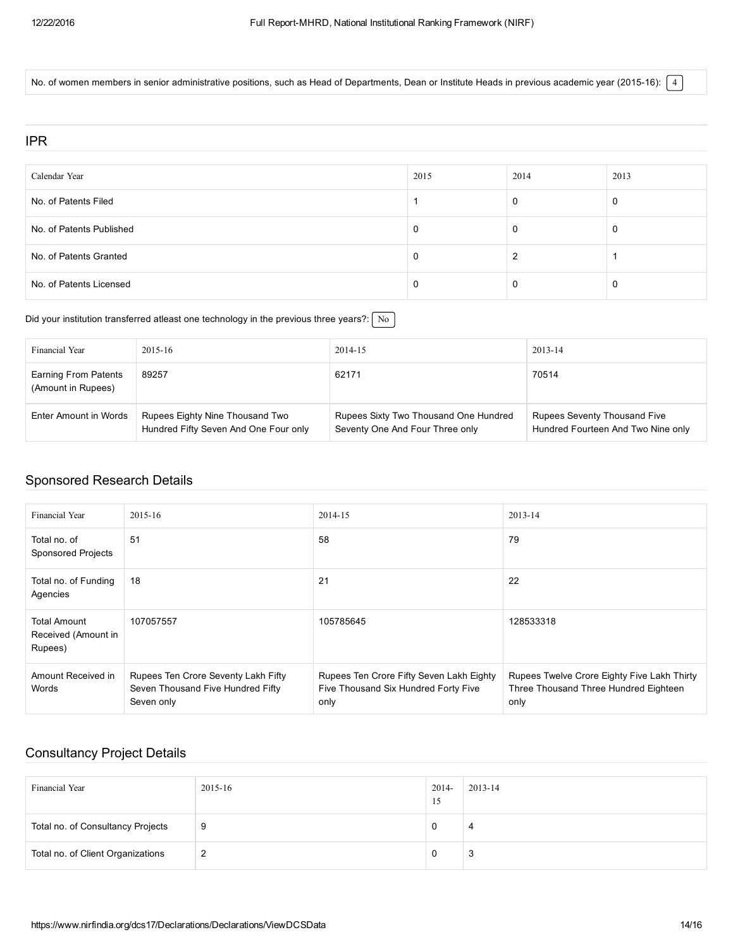No. of women members in senior administrative positions, such as Head of Departments, Dean or Institute Heads in previous academic year (2015-16):  $\boxed{4}$ 

#### IPR

| Calendar Year            | 2015 | 2014 | 2013 |
|--------------------------|------|------|------|
| No. of Patents Filed     |      |      | 0    |
| No. of Patents Published |      | υ    | 0    |
| No. of Patents Granted   |      |      |      |
| No. of Patents Licensed  |      |      | 0    |

Did your institution transferred atleast one technology in the previous three years?:  $\sqrt{\frac{N_o}{N_o}}$ 

| Financial Year                                    | 2015-16                                                                  | 2014-15                                                                  | 2013-14                                                                   |
|---------------------------------------------------|--------------------------------------------------------------------------|--------------------------------------------------------------------------|---------------------------------------------------------------------------|
| <b>Earning From Patents</b><br>(Amount in Rupees) | 89257                                                                    | 62171                                                                    | 70514                                                                     |
| Enter Amount in Words                             | Rupees Eighty Nine Thousand Two<br>Hundred Fifty Seven And One Four only | Rupees Sixty Two Thousand One Hundred<br>Seventy One And Four Three only | <b>Rupees Seventy Thousand Five</b><br>Hundred Fourteen And Two Nine only |

#### Sponsored Research Details

| Financial Year                                        | $2015 - 16$                                                                            | 2014-15                                                                                  | 2013-14                                                                                      |
|-------------------------------------------------------|----------------------------------------------------------------------------------------|------------------------------------------------------------------------------------------|----------------------------------------------------------------------------------------------|
| Total no. of<br><b>Sponsored Projects</b>             | 51                                                                                     | 58                                                                                       | 79                                                                                           |
| Total no. of Funding<br>Agencies                      | 18                                                                                     | 21                                                                                       | 22                                                                                           |
| <b>Total Amount</b><br>Received (Amount in<br>Rupees) | 107057557                                                                              | 105785645                                                                                | 128533318                                                                                    |
| Amount Received in<br>Words                           | Rupees Ten Crore Seventy Lakh Fifty<br>Seven Thousand Five Hundred Fifty<br>Seven only | Rupees Ten Crore Fifty Seven Lakh Eighty<br>Five Thousand Six Hundred Forty Five<br>only | Rupees Twelve Crore Eighty Five Lakh Thirty<br>Three Thousand Three Hundred Eighteen<br>only |

#### Consultancy Project Details

| Financial Year                    | 2015-16 | $2014 -$<br>-15 | 2013-14 |
|-----------------------------------|---------|-----------------|---------|
| Total no. of Consultancy Projects | 9       |                 | 4       |
| Total no. of Client Organizations | 2       |                 | .J      |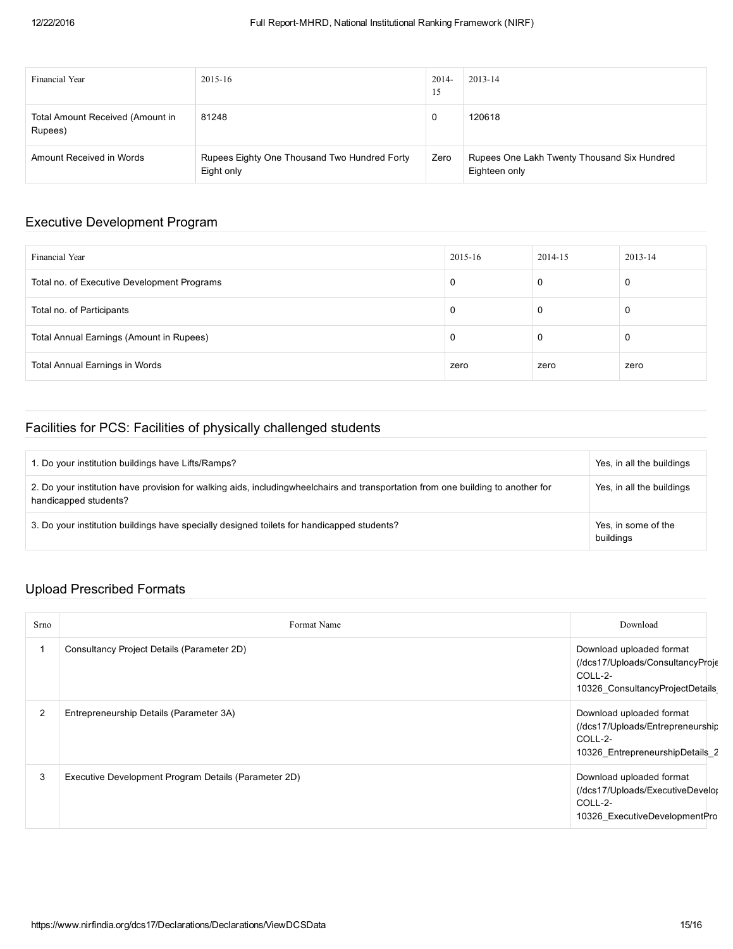| <b>Financial Year</b>                       | 2015-16                                                    | $2014-$<br>15 | 2013-14                                                      |
|---------------------------------------------|------------------------------------------------------------|---------------|--------------------------------------------------------------|
| Total Amount Received (Amount in<br>Rupees) | 81248                                                      | 0             | 120618                                                       |
| Amount Received in Words                    | Rupees Eighty One Thousand Two Hundred Forty<br>Eight only | Zero          | Rupees One Lakh Twenty Thousand Six Hundred<br>Eighteen only |

#### Executive Development Program

| Financial Year                              | $2015 - 16$ | 2014-15 | 2013-14 |
|---------------------------------------------|-------------|---------|---------|
| Total no. of Executive Development Programs | U           | 0       | 0       |
| Total no. of Participants                   |             | 0       | 0       |
| Total Annual Earnings (Amount in Rupees)    | U           | 0       | 0       |
| Total Annual Earnings in Words              | zero        | zero    | zero    |

## Facilities for PCS: Facilities of physically challenged students

| 1. Do your institution buildings have Lifts/Ramps?                                                                                                        | Yes, in all the buildings        |
|-----------------------------------------------------------------------------------------------------------------------------------------------------------|----------------------------------|
| 2. Do your institution have provision for walking aids, includingwheelchairs and transportation from one building to another for<br>handicapped students? | Yes, in all the buildings        |
| 3. Do your institution buildings have specially designed toilets for handicapped students?                                                                | Yes, in some of the<br>buildings |

## Upload Prescribed Formats

| Srno           | Format Name                                          | Download                                                                                                    |
|----------------|------------------------------------------------------|-------------------------------------------------------------------------------------------------------------|
|                | Consultancy Project Details (Parameter 2D)           | Download uploaded format<br>(/dcs17/Uploads/ConsultancyProje<br>COLL-2-<br>10326_ConsultancyProjectDetails  |
| $\overline{2}$ | Entrepreneurship Details (Parameter 3A)              | Download uploaded format<br>(/dcs17/Uploads/Entrepreneurship)<br>COLL-2-<br>10326_EntrepreneurshipDetails_2 |
| 3              | Executive Development Program Details (Parameter 2D) | Download uploaded format<br>(/dcs17/Uploads/ExecutiveDevelor<br>COLL-2-<br>10326 ExecutiveDevelopmentPro    |